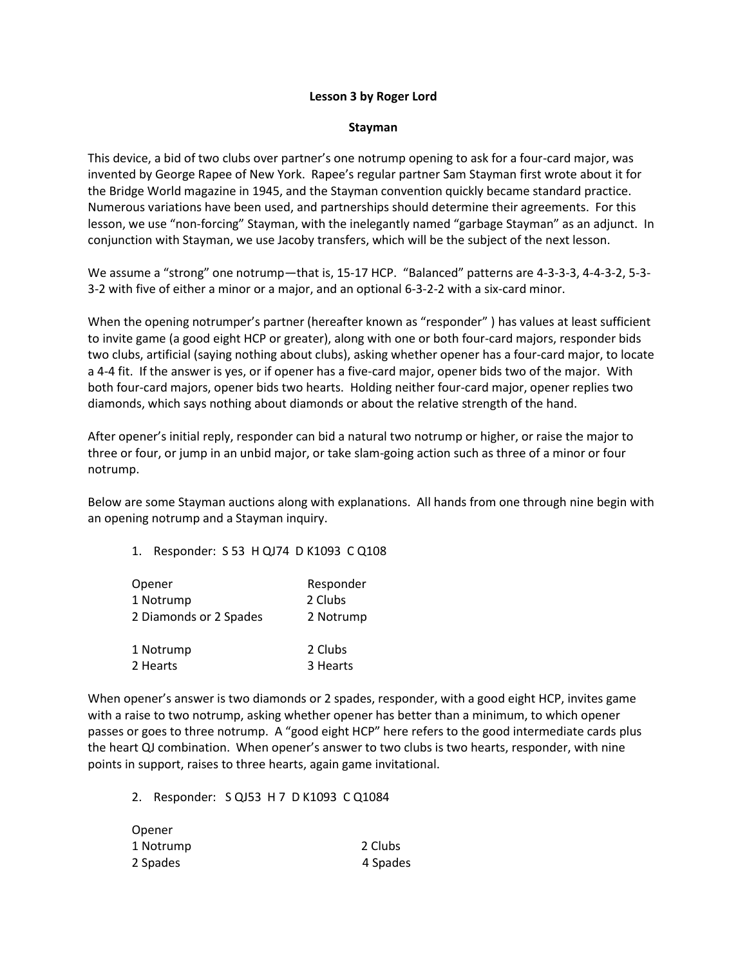## **Lesson 3 by Roger Lord**

## **Stayman**

This device, a bid of two clubs over partner's one notrump opening to ask for a four-card major, was invented by George Rapee of New York. Rapee's regular partner Sam Stayman first wrote about it for the Bridge World magazine in 1945, and the Stayman convention quickly became standard practice. Numerous variations have been used, and partnerships should determine their agreements. For this lesson, we use "non-forcing" Stayman, with the inelegantly named "garbage Stayman" as an adjunct. In conjunction with Stayman, we use Jacoby transfers, which will be the subject of the next lesson.

We assume a "strong" one notrump—that is, 15-17 HCP. "Balanced" patterns are 4-3-3-3, 4-4-3-2, 5-3- 3-2 with five of either a minor or a major, and an optional 6-3-2-2 with a six-card minor.

When the opening notrumper's partner (hereafter known as "responder" ) has values at least sufficient to invite game (a good eight HCP or greater), along with one or both four-card majors, responder bids two clubs, artificial (saying nothing about clubs), asking whether opener has a four-card major, to locate a 4-4 fit. If the answer is yes, or if opener has a five-card major, opener bids two of the major. With both four-card majors, opener bids two hearts. Holding neither four-card major, opener replies two diamonds, which says nothing about diamonds or about the relative strength of the hand.

After opener's initial reply, responder can bid a natural two notrump or higher, or raise the major to three or four, or jump in an unbid major, or take slam-going action such as three of a minor or four notrump.

Below are some Stayman auctions along with explanations. All hands from one through nine begin with an opening notrump and a Stayman inquiry.

1. Responder: S 53 H QJ74 D K1093 C Q108

| Opener                 | Responder |
|------------------------|-----------|
| 1 Notrump              | 2 Clubs   |
| 2 Diamonds or 2 Spades | 2 Notrump |
| 1 Notrump              | 2 Clubs   |
| 2 Hearts               | 3 Hearts  |

When opener's answer is two diamonds or 2 spades, responder, with a good eight HCP, invites game with a raise to two notrump, asking whether opener has better than a minimum, to which opener passes or goes to three notrump. A "good eight HCP" here refers to the good intermediate cards plus the heart QJ combination. When opener's answer to two clubs is two hearts, responder, with nine points in support, raises to three hearts, again game invitational.

2. Responder: S QJ53 H 7 D K1093 C Q1084

| Opener    |          |
|-----------|----------|
| 1 Notrump | 2 Clubs  |
| 2 Spades  | 4 Spades |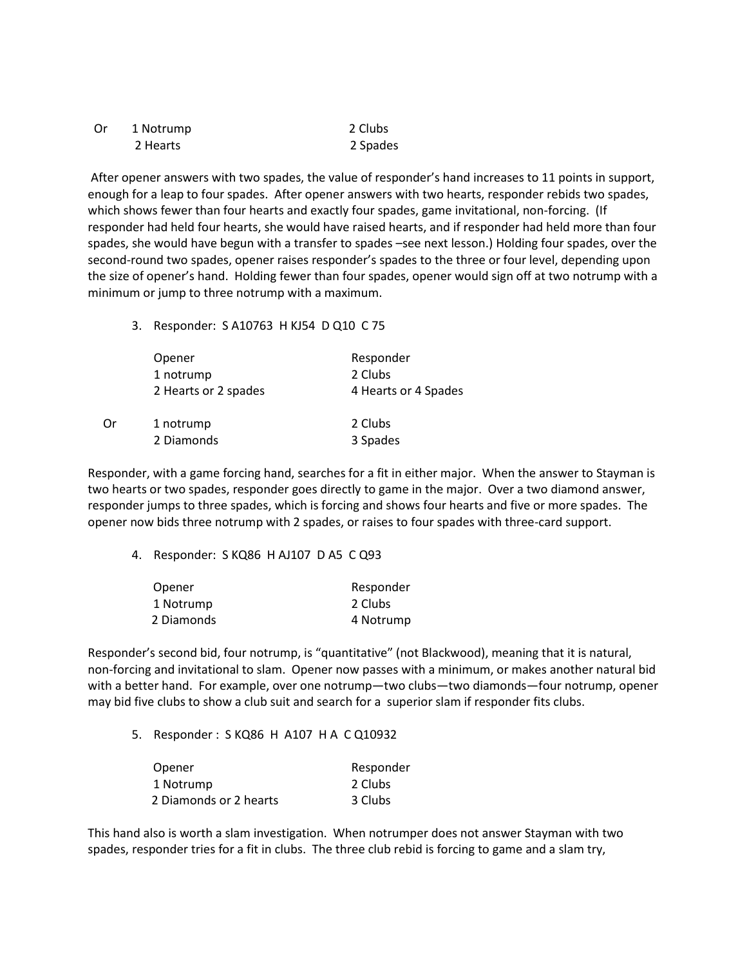| . Or | 1 Notrump | 2 Clubs  |
|------|-----------|----------|
|      | 2 Hearts  | 2 Spades |

After opener answers with two spades, the value of responder's hand increases to 11 points in support, enough for a leap to four spades. After opener answers with two hearts, responder rebids two spades, which shows fewer than four hearts and exactly four spades, game invitational, non-forcing. (If responder had held four hearts, she would have raised hearts, and if responder had held more than four spades, she would have begun with a transfer to spades –see next lesson.) Holding four spades, over the second-round two spades, opener raises responder's spades to the three or four level, depending upon the size of opener's hand. Holding fewer than four spades, opener would sign off at two notrump with a minimum or jump to three notrump with a maximum.

## 3. Responder: S A10763 H KJ54 D Q10 C 75

|    | Opener               | Responder            |
|----|----------------------|----------------------|
|    | 1 notrump            | 2 Clubs              |
|    | 2 Hearts or 2 spades | 4 Hearts or 4 Spades |
| 0r | 1 notrump            | 2 Clubs              |
|    | 2 Diamonds           | 3 Spades             |

Responder, with a game forcing hand, searches for a fit in either major. When the answer to Stayman is two hearts or two spades, responder goes directly to game in the major. Over a two diamond answer, responder jumps to three spades, which is forcing and shows four hearts and five or more spades. The opener now bids three notrump with 2 spades, or raises to four spades with three-card support.

4. Responder: S KQ86 H AJ107 D A5 C Q93

| Opener     | Responder |
|------------|-----------|
| 1 Notrump  | 2 Clubs   |
| 2 Diamonds | 4 Notrump |

Responder's second bid, four notrump, is "quantitative" (not Blackwood), meaning that it is natural, non-forcing and invitational to slam. Opener now passes with a minimum, or makes another natural bid with a better hand. For example, over one notrump—two clubs—two diamonds—four notrump, opener may bid five clubs to show a club suit and search for a superior slam if responder fits clubs.

5. Responder : S KQ86 H A107 H A C Q10932

| Opener                 | Responder |
|------------------------|-----------|
| 1 Notrump              | 2 Clubs   |
| 2 Diamonds or 2 hearts | 3 Clubs   |

This hand also is worth a slam investigation. When notrumper does not answer Stayman with two spades, responder tries for a fit in clubs. The three club rebid is forcing to game and a slam try,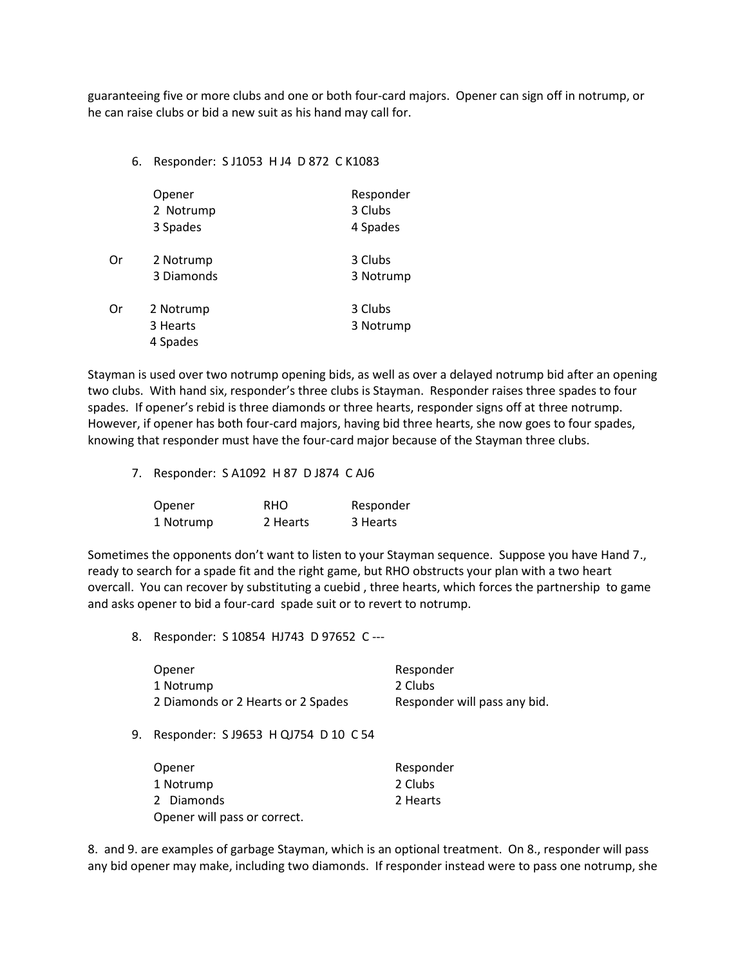guaranteeing five or more clubs and one or both four-card majors. Opener can sign off in notrump, or he can raise clubs or bid a new suit as his hand may call for.

| 6. Responder: SJ1053 HJ4 D 872 C K1083 |  |  |
|----------------------------------------|--|--|
|                                        |  |  |

|    | Opener<br>2 Notrump<br>3 Spades   | Responder<br>3 Clubs<br>4 Spades |
|----|-----------------------------------|----------------------------------|
| Or | 2 Notrump<br>3 Diamonds           | 3 Clubs<br>3 Notrump             |
| Or | 2 Notrump<br>3 Hearts<br>4 Spades | 3 Clubs<br>3 Notrump             |

Stayman is used over two notrump opening bids, as well as over a delayed notrump bid after an opening two clubs. With hand six, responder's three clubs is Stayman. Responder raises three spades to four spades. If opener's rebid is three diamonds or three hearts, responder signs off at three notrump. However, if opener has both four-card majors, having bid three hearts, she now goes to four spades, knowing that responder must have the four-card major because of the Stayman three clubs.

7. Responder: S A1092 H 87 D J874 C AJ6

| Opener    | <b>RHO</b> | Responder |
|-----------|------------|-----------|
| 1 Notrump | 2 Hearts   | 3 Hearts  |

Sometimes the opponents don't want to listen to your Stayman sequence. Suppose you have Hand 7., ready to search for a spade fit and the right game, but RHO obstructs your plan with a two heart overcall. You can recover by substituting a cuebid , three hearts, which forces the partnership to game and asks opener to bid a four-card spade suit or to revert to notrump.

8. Responder: S 10854 HJ743 D 97652 C ---

| Opener                             | Responder                    |
|------------------------------------|------------------------------|
| 1 Notrump                          | 2 Clubs                      |
| 2 Diamonds or 2 Hearts or 2 Spades | Responder will pass any bid. |

9. Responder: S J9653 H QJ754 D 10 C 54

| Opener                       | Responder |
|------------------------------|-----------|
| 1 Notrump                    | 2 Clubs   |
| 2 Diamonds                   | 2 Hearts  |
| Opener will pass or correct. |           |

8. and 9. are examples of garbage Stayman, which is an optional treatment. On 8., responder will pass any bid opener may make, including two diamonds. If responder instead were to pass one notrump, she